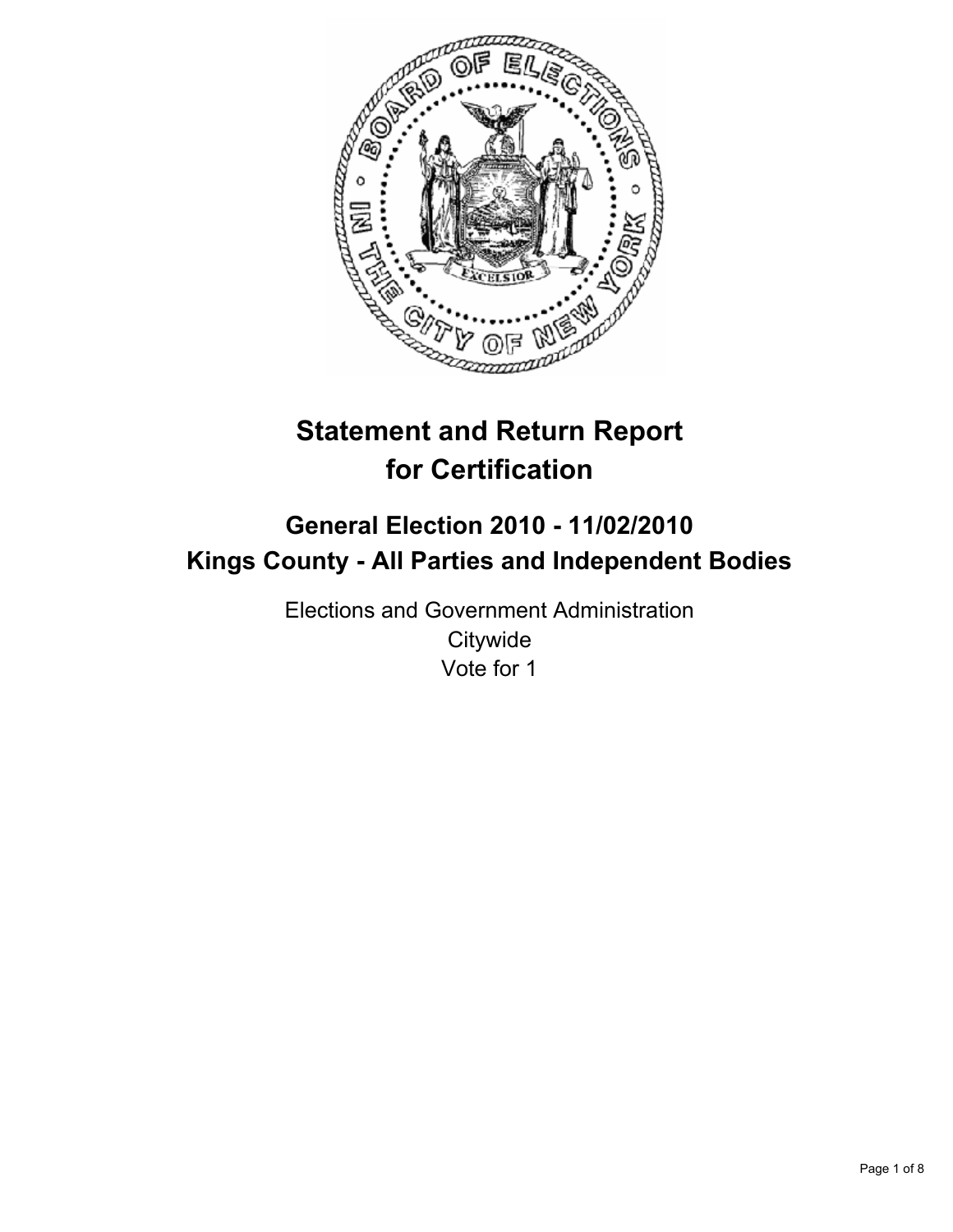

# **Statement and Return Report for Certification**

## **General Election 2010 - 11/02/2010 Kings County - All Parties and Independent Bodies**

Elections and Government Administration **Citywide** Vote for 1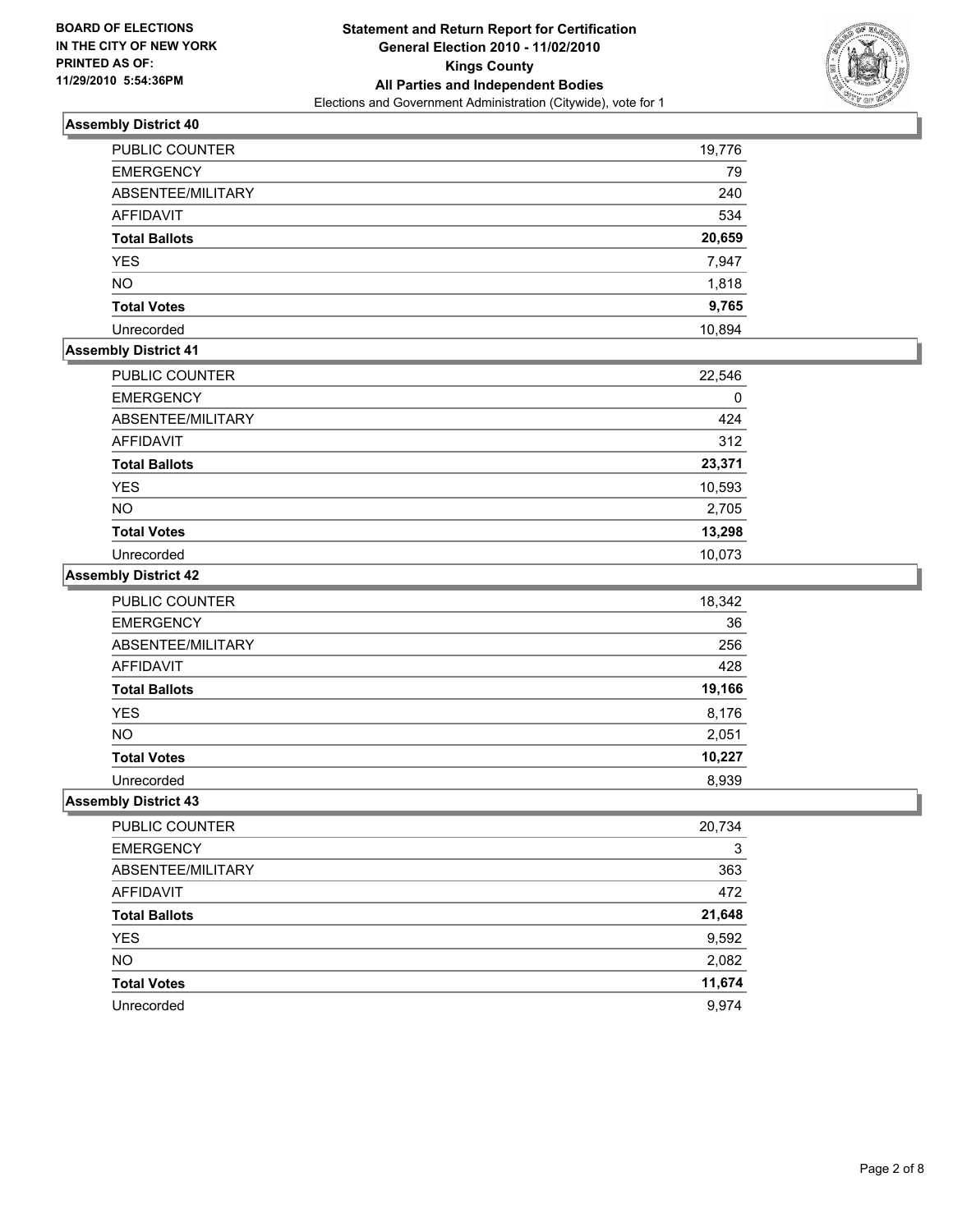

| PUBLIC COUNTER       | 19,776 |
|----------------------|--------|
| <b>EMERGENCY</b>     | 79     |
| ABSENTEE/MILITARY    | 240    |
| <b>AFFIDAVIT</b>     | 534    |
| <b>Total Ballots</b> | 20,659 |
| <b>YES</b>           | 7,947  |
| <b>NO</b>            | 1,818  |
| <b>Total Votes</b>   | 9,765  |
| Unrecorded           | 10,894 |

#### **Assembly District 41**

| <b>PUBLIC COUNTER</b> | 22,546 |
|-----------------------|--------|
| <b>EMERGENCY</b>      | 0      |
| ABSENTEE/MILITARY     | 424    |
| <b>AFFIDAVIT</b>      | 312    |
| <b>Total Ballots</b>  | 23,371 |
| <b>YES</b>            | 10,593 |
| <b>NO</b>             | 2,705  |
| <b>Total Votes</b>    | 13,298 |
| Unrecorded            | 10.073 |

## **Assembly District 42**

| PUBLIC COUNTER       | 18,342 |
|----------------------|--------|
| <b>EMERGENCY</b>     | 36     |
| ABSENTEE/MILITARY    | 256    |
| <b>AFFIDAVIT</b>     | 428    |
| <b>Total Ballots</b> | 19,166 |
| <b>YES</b>           | 8,176  |
| <b>NO</b>            | 2,051  |
| <b>Total Votes</b>   | 10,227 |
| Unrecorded           | 8,939  |

| PUBLIC COUNTER       | 20,734 |
|----------------------|--------|
| <b>EMERGENCY</b>     | 3      |
| ABSENTEE/MILITARY    | 363    |
| AFFIDAVIT            | 472    |
| <b>Total Ballots</b> | 21,648 |
| <b>YES</b>           | 9,592  |
| <b>NO</b>            | 2,082  |
| <b>Total Votes</b>   | 11,674 |
| Unrecorded           | 9.974  |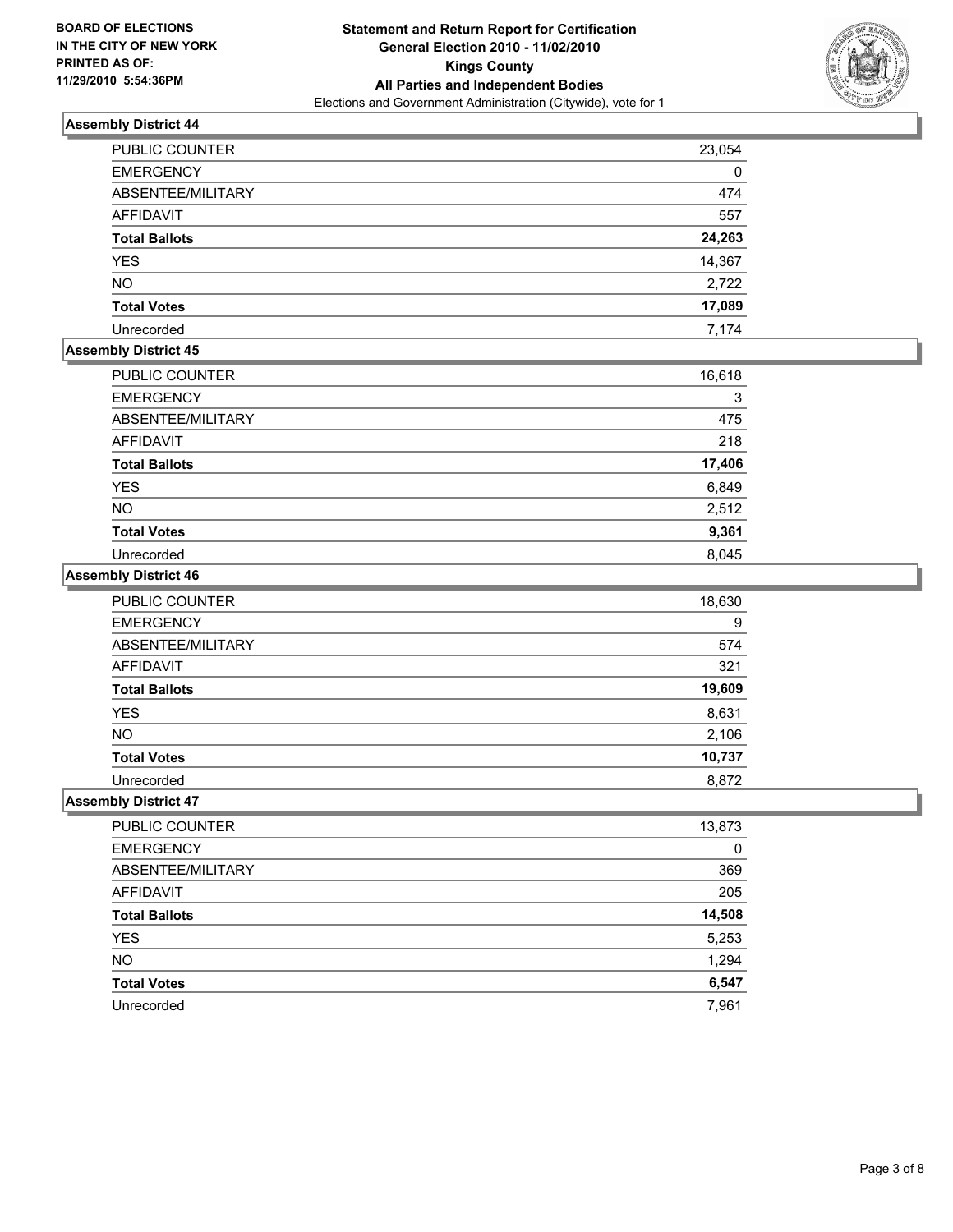

| PUBLIC COUNTER       | 23,054 |
|----------------------|--------|
| <b>EMERGENCY</b>     | 0      |
| ABSENTEE/MILITARY    | 474    |
| <b>AFFIDAVIT</b>     | 557    |
| <b>Total Ballots</b> | 24,263 |
| <b>YES</b>           | 14,367 |
| <b>NO</b>            | 2,722  |
| <b>Total Votes</b>   | 17,089 |
| Unrecorded           | 7.174  |

## **Assembly District 45**

| <b>PUBLIC COUNTER</b> | 16,618 |
|-----------------------|--------|
| <b>EMERGENCY</b>      | 3      |
| ABSENTEE/MILITARY     | 475    |
| <b>AFFIDAVIT</b>      | 218    |
| <b>Total Ballots</b>  | 17,406 |
| <b>YES</b>            | 6,849  |
| <b>NO</b>             | 2,512  |
| <b>Total Votes</b>    | 9,361  |
| Unrecorded            | 8.045  |

## **Assembly District 46**

| <b>PUBLIC COUNTER</b> | 18,630 |
|-----------------------|--------|
| <b>EMERGENCY</b>      | 9      |
| ABSENTEE/MILITARY     | 574    |
| <b>AFFIDAVIT</b>      | 321    |
| <b>Total Ballots</b>  | 19,609 |
| <b>YES</b>            | 8,631  |
| <b>NO</b>             | 2,106  |
| <b>Total Votes</b>    | 10,737 |
| Unrecorded            | 8.872  |

| PUBLIC COUNTER       | 13,873 |
|----------------------|--------|
| <b>EMERGENCY</b>     | 0      |
| ABSENTEE/MILITARY    | 369    |
| AFFIDAVIT            | 205    |
| <b>Total Ballots</b> | 14,508 |
| <b>YES</b>           | 5,253  |
| <b>NO</b>            | 1,294  |
| <b>Total Votes</b>   | 6,547  |
| Unrecorded           | 7,961  |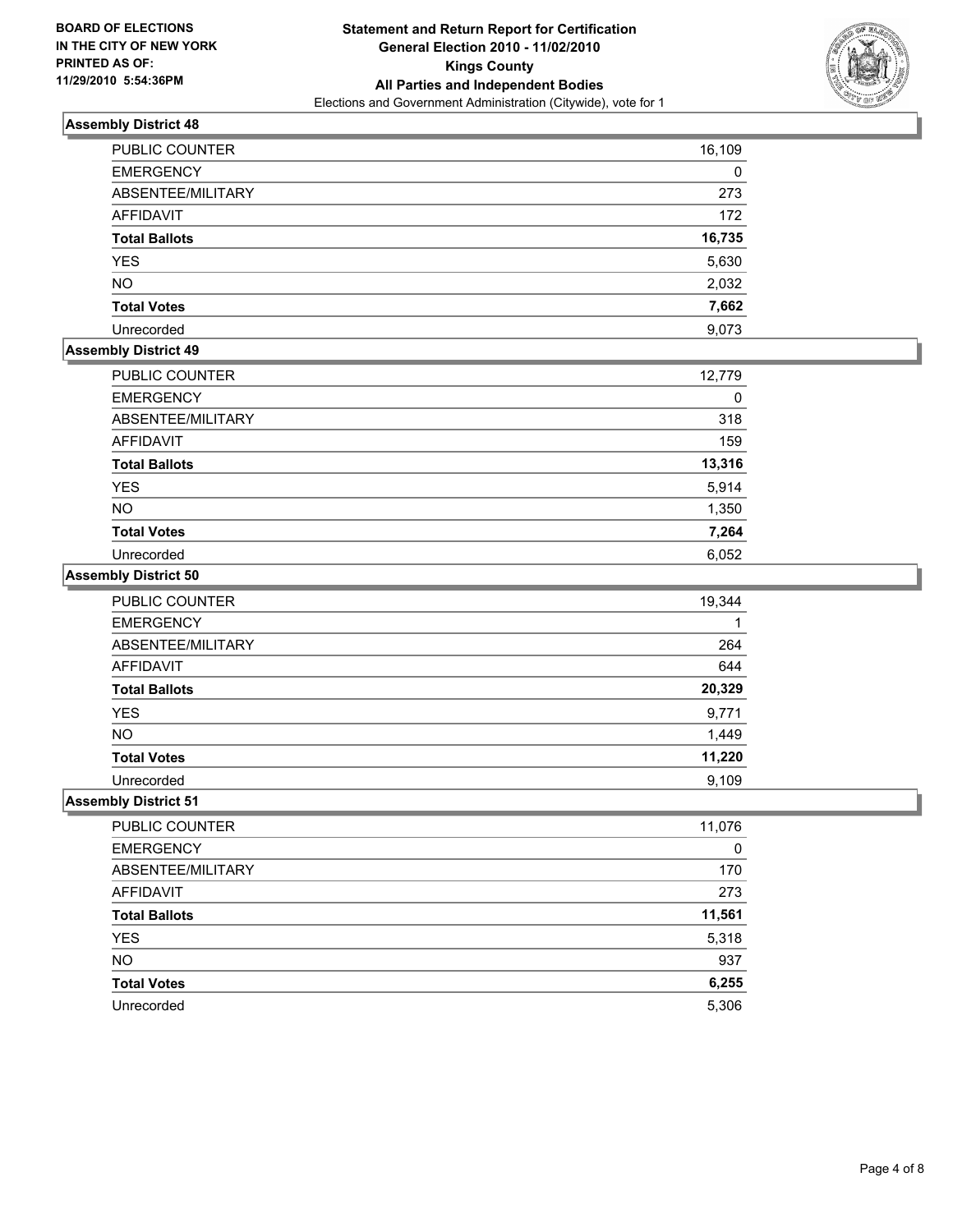

| <b>PUBLIC COUNTER</b> | 16,109 |
|-----------------------|--------|
| <b>EMERGENCY</b>      | 0      |
| ABSENTEE/MILITARY     | 273    |
| <b>AFFIDAVIT</b>      | 172    |
| <b>Total Ballots</b>  | 16,735 |
| <b>YES</b>            | 5,630  |
| <b>NO</b>             | 2,032  |
| <b>Total Votes</b>    | 7,662  |
| Unrecorded            | 9.073  |

## **Assembly District 49**

| <b>PUBLIC COUNTER</b> | 12,779 |
|-----------------------|--------|
| <b>EMERGENCY</b>      | 0      |
| ABSENTEE/MILITARY     | 318    |
| AFFIDAVIT             | 159    |
| <b>Total Ballots</b>  | 13,316 |
| <b>YES</b>            | 5,914  |
| <b>NO</b>             | 1,350  |
| <b>Total Votes</b>    | 7,264  |
| Unrecorded            | 6,052  |

## **Assembly District 50**

| <b>PUBLIC COUNTER</b> | 19,344 |
|-----------------------|--------|
| <b>EMERGENCY</b>      |        |
| ABSENTEE/MILITARY     | 264    |
| <b>AFFIDAVIT</b>      | 644    |
| <b>Total Ballots</b>  | 20,329 |
| <b>YES</b>            | 9,771  |
| <b>NO</b>             | 1,449  |
| <b>Total Votes</b>    | 11,220 |
| Unrecorded            | 9.109  |

| PUBLIC COUNTER       | 11,076 |
|----------------------|--------|
| <b>EMERGENCY</b>     | 0      |
| ABSENTEE/MILITARY    | 170    |
| <b>AFFIDAVIT</b>     | 273    |
| <b>Total Ballots</b> | 11,561 |
| <b>YES</b>           | 5,318  |
| <b>NO</b>            | 937    |
| <b>Total Votes</b>   | 6,255  |
| Unrecorded           | 5,306  |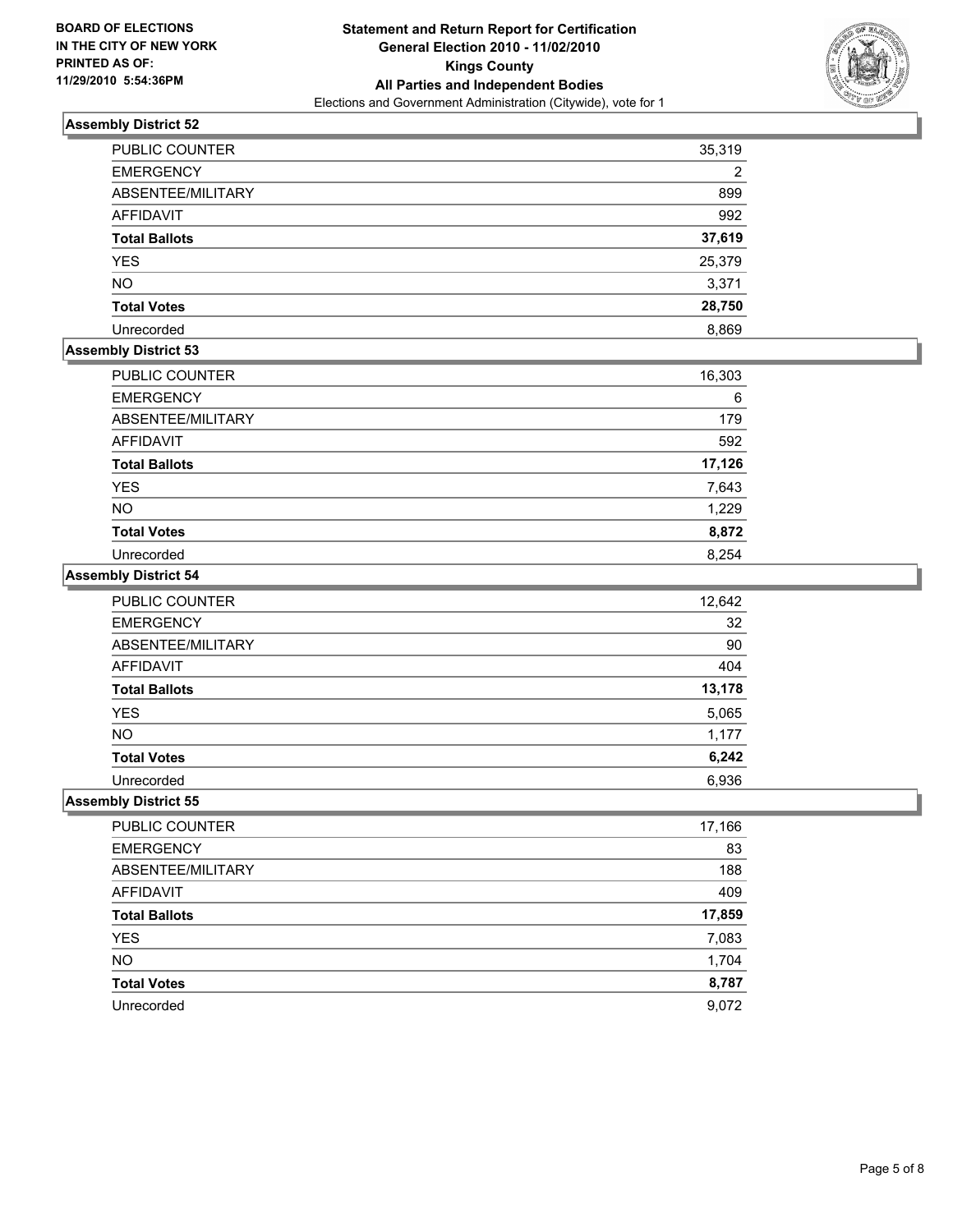

| <b>PUBLIC COUNTER</b> | 35,319 |
|-----------------------|--------|
| <b>EMERGENCY</b>      | 2      |
| ABSENTEE/MILITARY     | 899    |
| AFFIDAVIT             | 992    |
| <b>Total Ballots</b>  | 37,619 |
| <b>YES</b>            | 25,379 |
| <b>NO</b>             | 3,371  |
| <b>Total Votes</b>    | 28,750 |
| Unrecorded            | 8.869  |

#### **Assembly District 53**

| PUBLIC COUNTER       | 16,303 |
|----------------------|--------|
| <b>EMERGENCY</b>     | 6      |
| ABSENTEE/MILITARY    | 179    |
| <b>AFFIDAVIT</b>     | 592    |
| <b>Total Ballots</b> | 17,126 |
| <b>YES</b>           | 7,643  |
| <b>NO</b>            | 1,229  |
| <b>Total Votes</b>   | 8,872  |
| Unrecorded           | 8.254  |

## **Assembly District 54**

| PUBLIC COUNTER       | 12,642 |
|----------------------|--------|
| <b>EMERGENCY</b>     | 32     |
| ABSENTEE/MILITARY    | 90     |
| <b>AFFIDAVIT</b>     | 404    |
| <b>Total Ballots</b> | 13,178 |
| <b>YES</b>           | 5,065  |
| <b>NO</b>            | 1,177  |
| <b>Total Votes</b>   | 6,242  |
| Unrecorded           | 6,936  |

| PUBLIC COUNTER       | 17,166 |
|----------------------|--------|
| <b>EMERGENCY</b>     | 83     |
| ABSENTEE/MILITARY    | 188    |
| <b>AFFIDAVIT</b>     | 409    |
| <b>Total Ballots</b> | 17,859 |
| <b>YES</b>           | 7,083  |
| <b>NO</b>            | 1,704  |
| <b>Total Votes</b>   | 8,787  |
| Unrecorded           | 9,072  |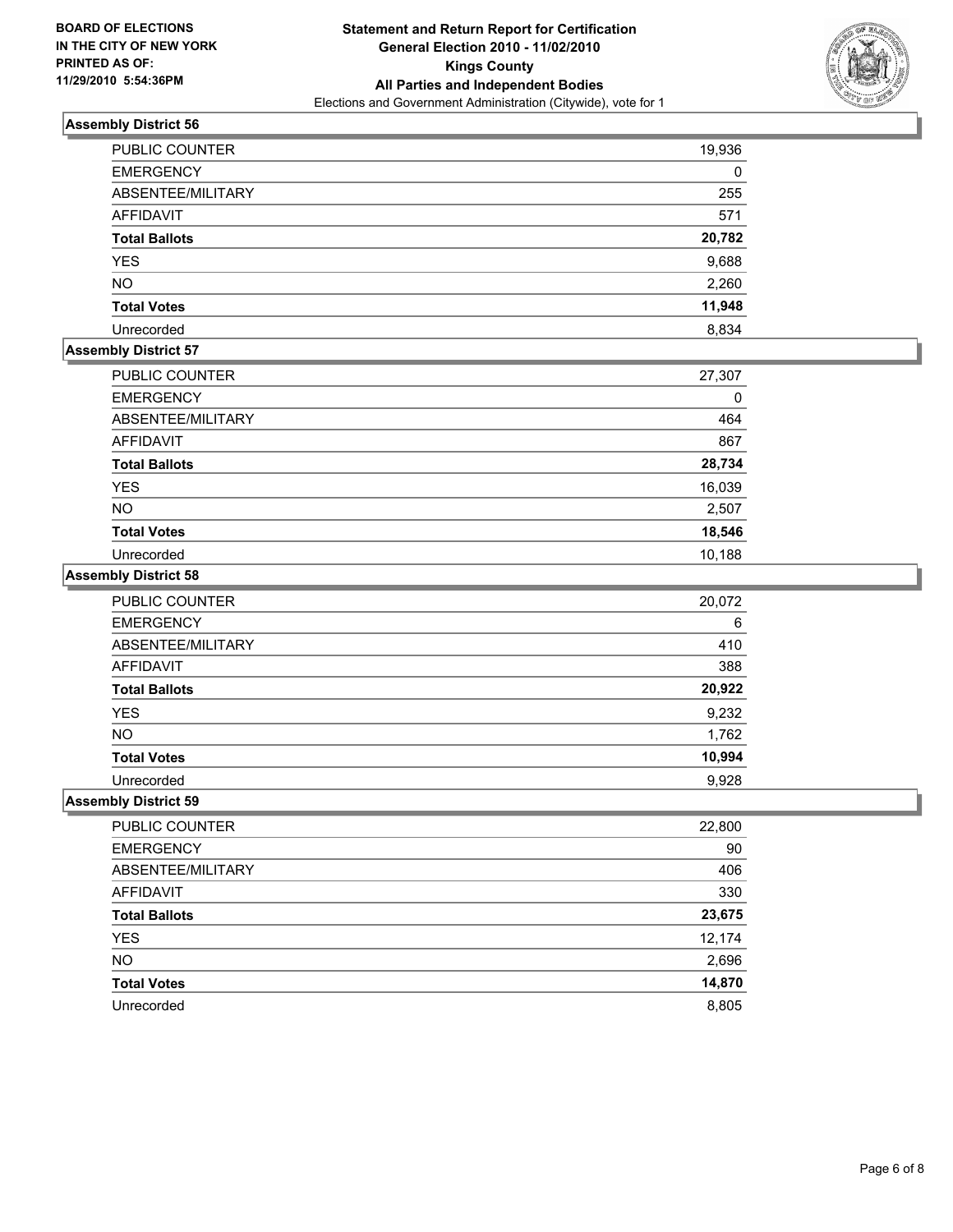

| PUBLIC COUNTER       | 19,936 |
|----------------------|--------|
| <b>EMERGENCY</b>     | 0      |
| ABSENTEE/MILITARY    | 255    |
| <b>AFFIDAVIT</b>     | 571    |
| <b>Total Ballots</b> | 20,782 |
| <b>YES</b>           | 9,688  |
| <b>NO</b>            | 2,260  |
| <b>Total Votes</b>   | 11,948 |
| Unrecorded           | 8.834  |

## **Assembly District 57**

| <b>PUBLIC COUNTER</b> | 27,307 |
|-----------------------|--------|
| <b>EMERGENCY</b>      | 0      |
| ABSENTEE/MILITARY     | 464    |
| <b>AFFIDAVIT</b>      | 867    |
| <b>Total Ballots</b>  | 28,734 |
| <b>YES</b>            | 16,039 |
| <b>NO</b>             | 2,507  |
| <b>Total Votes</b>    | 18,546 |
| Unrecorded            | 10,188 |

#### **Assembly District 58**

| PUBLIC COUNTER       | 20,072 |
|----------------------|--------|
| <b>EMERGENCY</b>     | 6      |
| ABSENTEE/MILITARY    | 410    |
| AFFIDAVIT            | 388    |
| <b>Total Ballots</b> | 20,922 |
| <b>YES</b>           | 9,232  |
| <b>NO</b>            | 1,762  |
| <b>Total Votes</b>   | 10,994 |
| Unrecorded           | 9,928  |

| PUBLIC COUNTER       | 22,800 |
|----------------------|--------|
| <b>EMERGENCY</b>     | 90     |
| ABSENTEE/MILITARY    | 406    |
| <b>AFFIDAVIT</b>     | 330    |
| <b>Total Ballots</b> | 23,675 |
| <b>YES</b>           | 12,174 |
| <b>NO</b>            | 2,696  |
| <b>Total Votes</b>   | 14,870 |
| Unrecorded           | 8,805  |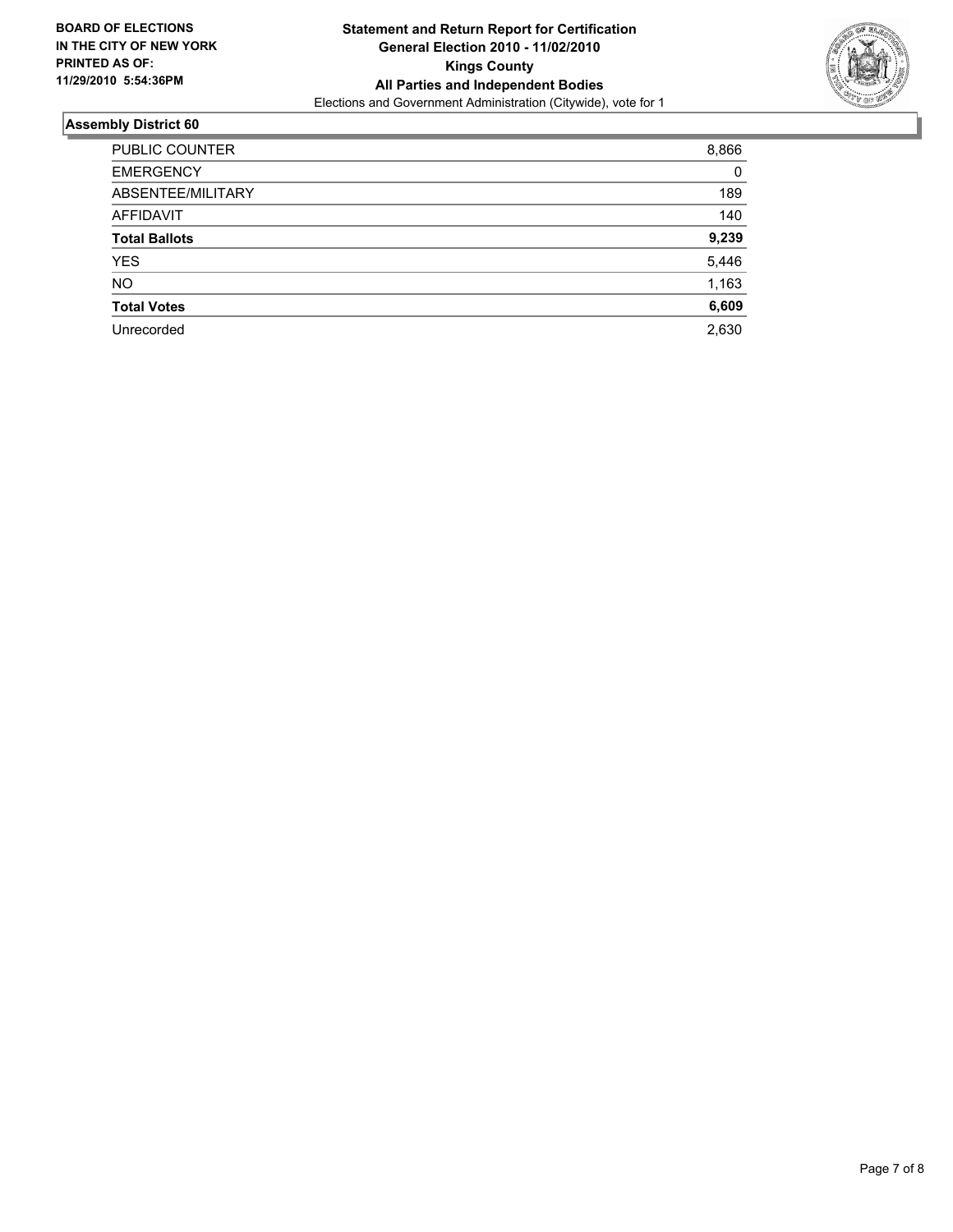

| PUBLIC COUNTER       | 8,866 |
|----------------------|-------|
| <b>EMERGENCY</b>     | 0     |
| ABSENTEE/MILITARY    | 189   |
| <b>AFFIDAVIT</b>     | 140   |
| <b>Total Ballots</b> | 9,239 |
| <b>YES</b>           | 5,446 |
| <b>NO</b>            | 1,163 |
| <b>Total Votes</b>   | 6,609 |
| Unrecorded           | 2,630 |